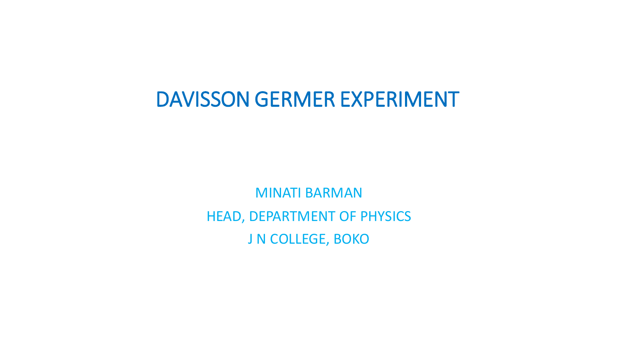## DAVISSON GERMER EXPERIMENT

MINATI BARMAN HEAD, DEPARTMENT OF PHYSICS J N COLLEGE, BOKO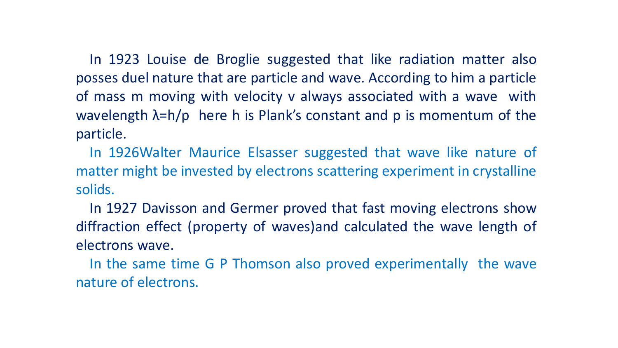In 1923 Louise de Broglie suggested that like radiation matter also posses duel nature that are particle and wave. According to him a particle of mass m moving with velocity v always associated with a wave with wavelength  $\lambda = h/p$  here h is Plank's constant and p is momentum of the particle.

In 1926Walter Maurice Elsasser suggested that wave like nature of matter might be invested by electrons scattering experiment in crystalline solids.

In 1927 Davisson and Germer proved that fast moving electrons show diffraction effect (property of waves)and calculated the wave length of electrons wave.

In the same time G P Thomson also proved experimentally the wave nature of electrons.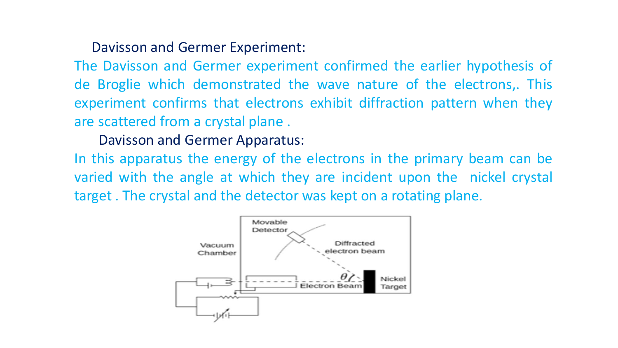## Davisson and Germer Experiment:

The Davisson and Germer experiment confirmed the earlier hypothesis of de Broglie which demonstrated the wave nature of the electrons,. This experiment confirms that electrons exhibit diffraction pattern when they are scattered from a crystal plane .

## Davisson and Germer Apparatus:

In this apparatus the energy of the electrons in the primary beam can be varied with the angle at which they are incident upon the nickel crystal target . The crystal and the detector was kept on a rotating plane.

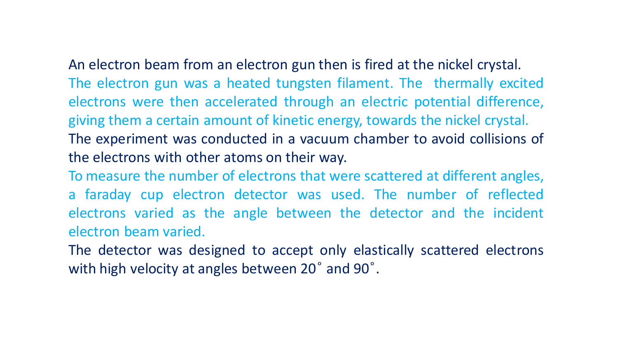An electron beam from an electron gun then is fired at the nickel crystal. The electron gun was a heated tungsten filament. The thermally excited electrons were then accelerated through an electric potential difference, giving them a certain amount of kinetic energy, towards the nickel crystal. The experiment was conducted in a vacuum chamber to avoid collisions of the electrons with other atoms on their way.

To measure the number of electrons that were scattered at different angles,

a faraday cup electron detector was used. The number of reflected electrons varied as the angle between the detector and the incident electron beam varied.

The detector was designed to accept only elastically scattered electrons with high velocity at angles between 20° and 90°.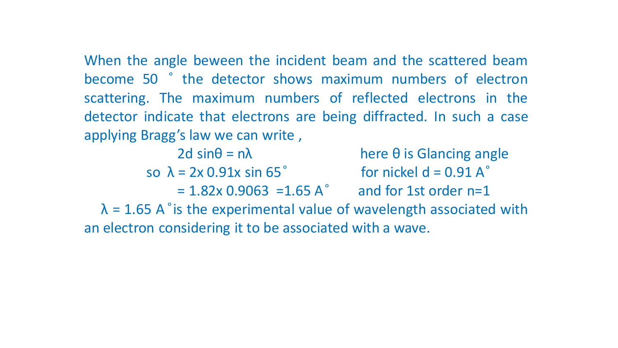When the angle beween the incident beam and the scattered beam become 50  $\degree$  the detector shows maximum numbers of electron scattering. The maximum numbers of reflected electrons in the detector indicate that electrons are being diffracted. In such a case applying Bragg's law we can write ,

 $2d \sin\theta = n\lambda$  here  $\theta$  is Glancing angle so  $\lambda = 2x \cdot 0.91x \sin 65^\circ$  for nickel d = 0.91 A $\degree$  $= 1.82x 0.9063 = 1.65 A^{\circ}$  and for 1st order n=1  $\lambda$  = 1.65 A  $\degree$  is the experimental value of wavelength associated with an electron considering it to be associated with a wave.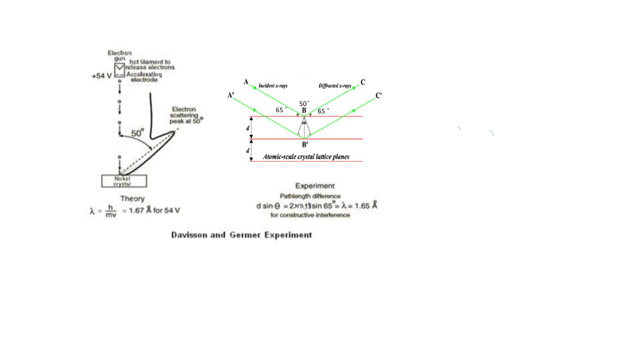

 $\sum_{i=1}^{n}$ 

**Davisson and Germer Experiment**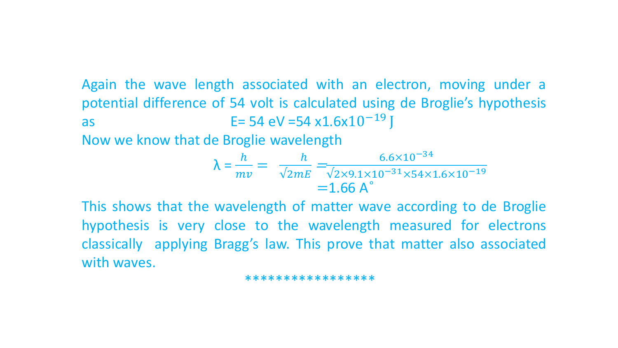Again the wave length associated with an electron, moving under a potential difference of 54 volt is calculated using de Broglie's hypothesis as E= 54 eV = 54 x1.6x $10^{-19}$  J

Now we know that de Broglie wavelength

$$
\lambda = \frac{h}{mv} = \frac{h}{\sqrt{2mE}} = \frac{6.6 \times 10^{-34}}{\sqrt{2 \times 9.1 \times 10^{-31} \times 54 \times 1.6 \times 10^{-19}}} = 1.66 \text{ A}^{\circ}
$$

This shows that the wavelength of matter wave according to de Broglie hypothesis is very close to the wavelength measured for electrons classically applying Bragg's law. This prove that matter also associated with waves.

\*\*\*\*\*\*\*\*\*\*\*\*\*\*\*